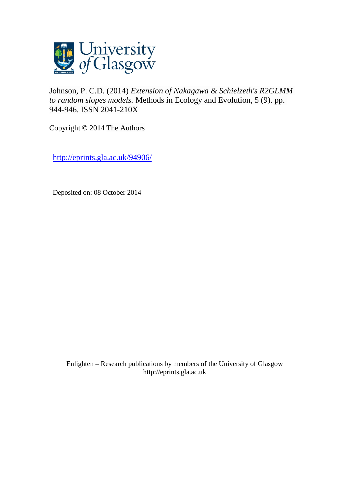

[Johnson, P. C.D.](http://eprints.gla.ac.uk/view/author/10389.html) (2014) *Extension of Nakagawa & Schielzeth's R2GLMM to random slopes models.* [Methods in Ecology and Evolution,](http://eprints.gla.ac.uk/view/journal_volume/Methods_in_Ecology_and_Evolution.html) 5 (9). pp. 944-946. ISSN 2041-210X

Copyright © 2014 The Authors

<http://eprints.gla.ac.uk/94906/>

Deposited on: 08 October 2014

Enlighten – Research publications by members of the University of Glasgo[w](http://eprints.gla.ac.uk/) [http://eprints.gla.ac.uk](http://eprints.gla.ac.uk/)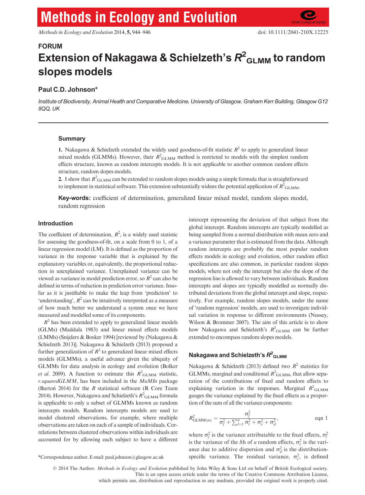# **Methods in Ecology and Evolution**

Methods in Ecology and Evolution 2014, 5, 944–946 doi: 10.1111/2041-210X.12225

## FORUM Extension of Nakagawa & Schielzeth's  $\boldsymbol{R}^2_{\boldsymbol{\mathsf{GLMM}}}$  to random slopes models

## Paul C.D. Johnson\*

Institute of Biodiversity, Animal Health and Comparative Medicine, University of Glasgow, Graham Kerr Building, Glasgow G12 8QQ, UK

## **Summary**

1. Nakagawa & Schielzeth extended the widely used goodness-of-fit statistic  $R^2$  to apply to generalized linear mixed models (GLMMs). However, their  $R^2$ <sub>GLMM</sub> method is restricted to models with the simplest random effects structure, known as random intercepts models. It is not applicable to another common random effects structure, random slopes models.

2. I show that  $R^2$ <sub>GLMM</sub> can be extended to random slopes models using a simple formula that is straightforward to implement in statistical software. This extension substantially widens the potential application of  $R^2$ <sub>GLMM</sub>.

Key-words: coefficient of determination, generalized linear mixed model, random slopes model, random regression

## Introduction

The coefficient of determination,  $R^2$ , is a widely used statistic for assessing the goodness-of-fit, on a scale from 0 to 1, of a linear regression model (LM). It is defined as the proportion of variance in the response variable that is explained by the explanatory variables or, equivalently, the proportional reduction in unexplained variance. Unexplained variance can be viewed as variance in model prediction error, so  $R^2$  can also be defined in terms of reduction in prediction error variance. Insofar as it is justifiable to make the leap from 'prediction' to 'understanding',  $R^2$  can be intuitively interpreted as a measure of how much better we understand a system once we have measured and modelled some of its components.

 $R<sup>2</sup>$  has been extended to apply to generalized linear models (GLMs) (Maddala 1983) and linear mixed effects models (LMMs) (Snijders & Bosker 1994) [reviewed by (Nakagawa & Schielzeth 2013)]. Nakagawa & Schielzeth (2013) proposed a further generalization of  $R^2$  to generalized linear mixed effects models (GLMMs), a useful advance given the ubiquity of GLMMs for data analysis in ecology and evolution (Bolker *et al.* 2009). A function to estimate this  $R^2$ <sub>GLMM</sub> statistic,  $r$ .squaredGLMM, has been included in the  $MuM$ n package (Barton 2014) for the  $R$  statistical software (R Core Team 2014). However, Nakagawa and Schielzeth's  $R^2_{\,\,\text{GLMM}}$  formula is applicable to only a subset of GLMMs known as random intercepts models. Random intercepts models are used to model clustered observations, for example, where multiple observations are taken on each of a sample of individuals. Correlations between clustered observations within individuals are accounted for by allowing each subject to have a different

intercept representing the deviation of that subject from the global intercept. Random intercepts are typically modelled as being sampled from a normal distribution with mean zero and a variance parameter that is estimated from the data. Although random intercepts are probably the most popular random effects models in ecology and evolution, other random effect specifications are also common, in particular random slopes models, where not only the intercept but also the slope of the regression line is allowed to vary between individuals. Random intercepts and slopes are typically modelled as normally distributed deviations from the global intercept and slope, respectively. For example, random slopes models, under the name of 'random regression' models, are used to investigate individual variation in response to different environments (Nussey, Wilson & Brommer 2007). The aim of this article is to show how Nakagawa and Schielzeth's  $R^2$ <sub>GLMM</sub> can be further extended to encompass random slopes models.

## Nakagawa and Schielzeth's  $R^2$ <sub>GLMM</sub>

Nakagawa & Schielzeth (2013) defined two  $R^2$  statistics for GLMMs, marginal and conditional  $R^2$ <sub>GLMM</sub>, that allow separation of the contributions of fixed and random effects to explaining variation in the responses. Marginal  $R^2$ <sub>GLMM</sub> gauges the variance explained by the fixed effects as a proportion of the sum of all the variance components:

$$
R_{\text{GLMM}(m)}^2 = \frac{\sigma_f^2}{\sigma_f^2 + \sum_{l=1}^u \sigma_l^2 + \sigma_e^2 + \sigma_d^2},\qquad \text{eqn 1}
$$

where  $\sigma_f^2$  is the variance attributable to the fixed effects,  $\sigma_l^2$ is the variance of the *l*th of *u* random effects,  $\sigma_e^2$  is the variance due to additive dispersion and  $\sigma_d^2$  is the distribution-\*Correspondence author. E-mail: paul.johnson@glasgow.ac.uk specific variance. The residual variance,  $\sigma_{\varepsilon}^2$ , is defined

© 2014 The Author. Methods in Ecology and Evolution published by John Wiley & Sons Ltd on behalf of British Ecological society. This is an open access article under the terms of the Creative Commons Attribution License, which permits use, distribution and reproduction in any medium, provided the original work is properly cited.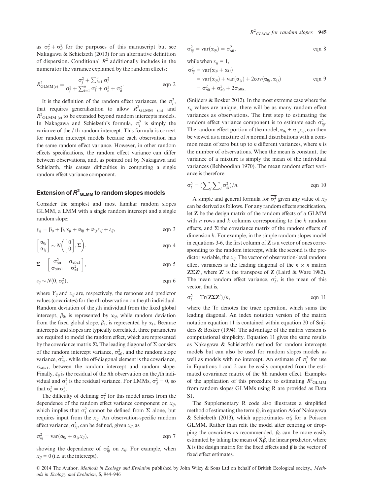as  $\sigma_e^2 + \sigma_d^2$  for the purposes of this manuscript but see Nakagawa & Schielzeth (2013) for an alternative definition of dispersion. Conditional  $R^2$  additionally includes in the numerator the variance explained by the random effects:

$$
R_{\text{GLMM}(c)}^2 = \frac{\sigma_f^2 + \sum_{l=1}^u \sigma_l^2}{\sigma_f^2 + \sum_{l=1}^u \sigma_l^2 + \sigma_e^2 + \sigma_d^2}.
$$
eqn 2

It is the definition of the random effect variances, the  $\sigma_l^2$ , that requires generalization to allow  $R^2$ <sub>GLMM (m)</sub> and  $R^2$ <sub>GLMM (c)</sub> to be extended beyond random intercepts models. In Nakagawa and Schielzeth's formula,  $\sigma_l^2$  is simply the variance of the *l* th random intercept. This formula is correct for random intercept models because each observation has the same random effect variance. However, in other random effects specifications, the random effect variance can differ between observations, and, as pointed out by Nakagawa and Schielzeth, this causes difficulties in computing a single random effect variance component.

## Extension of  $R^2_{\phantom{2} \text{GLMM}}$  to random slopes models

Consider the simplest and most familiar random slopes GLMM, a LMM with a single random intercept and a single random slope:

$$
y_{ij} = \beta_0 + \beta_1 x_{ij} + \alpha_{0j} + \alpha_{1j} x_{ij} + \varepsilon_{ij},
$$
eqn 3

$$
\begin{bmatrix} \alpha_{0j} \\ \alpha_{1j} \end{bmatrix} \sim N \begin{pmatrix} 0 \\ 0 \end{pmatrix}, \Sigma \end{pmatrix}, \quad \text{eqn 4}
$$

$$
\Sigma = \begin{bmatrix} \sigma_{\alpha 0}^2 & \sigma_{\alpha 0 \alpha 1} \\ \sigma_{\alpha 0 \alpha 1} & \sigma_{\alpha 1}^2 \end{bmatrix}, \qquad \text{eqn 5}
$$

$$
\varepsilon_{ij} \sim N(0, \sigma_{\varepsilon}^2), \qquad \text{eqn 6}
$$

where  $Y_{ii}$  and  $x_{ii}$  are, respectively, the response and predictor values (covariates) for the ith observation on the jth individual. Random deviation of the jth individual from the fixed global intercept,  $\beta_0$ , is represented by  $\alpha_{0j}$ , while random deviation from the fixed global slope,  $\beta_1$ , is represented by  $\alpha_{1j}$ . Because intercepts and slopes are typically correlated, three parameters are required to model the random effect, which are represented by the covariance matrix  $\Sigma$ . The leading diagonal of  $\Sigma$  consists of the random intercept variance,  $\sigma_{\alpha 0}^2$ , and the random slope variance,  $\sigma_{\alpha 1}^2$ , while the off-diagonal element is the covariance,  $\sigma_{\alpha0\alpha1}$ , between the random intercept and random slope. Finally,  $\varepsilon_{ij}$  is the residual of the *i*th observation on the *j*th individual and  $\sigma_{\varepsilon}^2$  is the residual variance. For LMMs,  $\sigma_d^2 = 0$ , so that  $\sigma_{\varepsilon}^2 = \sigma_{\varepsilon}^2$ .

The difficulty of defining  $\sigma_l^2$  for this model arises from the dependence of the random effect variance component on  $x_{ij}$ , which implies that  $\sigma_l^2$  cannot be defined from  $\Sigma$  alone, but requires input from the  $x_{ij}$ . An observation-specific random effect variance,  $\sigma_{lij}^2$ , can be defined, given  $x_{ij}$ , as

$$
\sigma_{ij}^2 = \text{var}(\alpha_{0j} + \alpha_{1j} x_{ij}), \qquad \text{eqn 7}
$$

showing the dependence of  $\sigma_{lij}^2$  on  $x_{ij}$ . For example, when  $x_{ii} = 0$  (i.e. at the intercept),

$$
\sigma_{lij}^2 = \text{var}(\alpha_{0j}) = \sigma_{\alpha 0}^2, \qquad \text{eqn 8}
$$

while when  $x_{ij} = 1$ ,  $\sigma_r^2$ 

$$
S_{lij}^2 = \text{var}(\alpha_{0j} + \alpha_{1j})
$$
  
= 
$$
\text{var}(\alpha_{0j}) + \text{var}(\alpha_{1j}) + 2\text{cov}(\alpha_{0j}, \alpha_{1j})
$$
  
= 
$$
\sigma_{\alpha 0}^2 + \sigma_{\alpha 0}^2 + 2\sigma_{\alpha 0\alpha 1}
$$
 eqn 9

(Snijders & Bosker 2012). In the most extreme case where the  $x_{ii}$  values are unique, there will be as many random effect variances as observations. The first step to estimating the random effect variance component is to estimate each  $\sigma_{lij}^2$ . The random effect portion of the model,  $\alpha_{0i} + \alpha_{1i}x_{ii}$ , can then be viewed as a mixture of  $n$  normal distributions with a common mean of zero but up to  $n$  different variances, where  $n$  is the number of observations. When the mean is constant, the variance of a mixture is simply the mean of the individual variances (Behboodian 1970). The mean random effect variance is therefore

$$
\overline{\sigma_l^2} = (\sum_j \sum_i \sigma_{lij}^2)/n.
$$
eqn 10

A simple and general formula for  $\sigma_l^2$  given any value of  $x_{i,j}$ can be derived as follows. For any random effects specification, let Z be the design matrix of the random effects of a GLMM with *n* rows and  $k$  columns corresponding to the  $k$  random effects, and  $\Sigma$  the covariance matrix of the random effects of dimension  $k$ . For example, in the simple random slopes model in equations 3-6, the first column of  $Z$  is a vector of ones corresponding to the random intercept, while the second is the predictor variable, the  $x_{ij}$ . The vector of observation-level random effect variances is the leading diagonal of the  $n \times n$  matrix  $\mathbb{Z} \Sigma \mathbb{Z}'$ , where  $\mathbb{Z}'$  is the transpose of  $\mathbb Z$  (Laird & Ware 1982). The mean random effect variance,  $\sigma_l^2$ , is the mean of this vector, that is,

$$
\overline{\sigma_l^2} = \text{Tr}(\mathbf{Z}\mathbf{\Sigma}\mathbf{Z}')/n,
$$
eqn 11

where the Tr denotes the trace operation, which sums the leading diagonal. An index notation version of the matrix notation equation 11 is contained within equation 20 of Snijders & Bosker (1994). The advantage of the matrix version is computational simplicity. Equation 11 gives the same results as Nakagawa & Schielzeth's method for random intercepts models but can also be used for random slopes models as well as models with no intercept. An estimate of  $\sigma_l^2$  for use in Equations 1 and 2 can be easily computed from the estimated covariance matrix of the lth random effect. Examples of the application of this procedure to estimating  $R^2$ <sub>GLMM</sub> from random slopes GLMMs using R are provided as Data S1.

The Supplementary R code also illustrates a simplified method of estimating the term  $\beta_0$  in equation A6 of Nakagawa & Schielzeth (2013), which approximates  $\sigma_d^2$  for a Poisson GLMM. Rather than refit the model after centring or dropping the covariates as recommended,  $\beta_0$  can be more easily estimated by taking the mean of  $\mathbf{X}\hat{\boldsymbol{\beta}}$ , the linear predictor, where **X** is the design matrix for the fixed effects and  $\hat{\beta}$  is the vector of fixed effect estimates.

© 2014 The Author. Methods in Ecology and Evolution published by John Wiley & Sons Ltd on behalf of British Ecological society., Methods in Ecology and Evolution, 5, 944–946